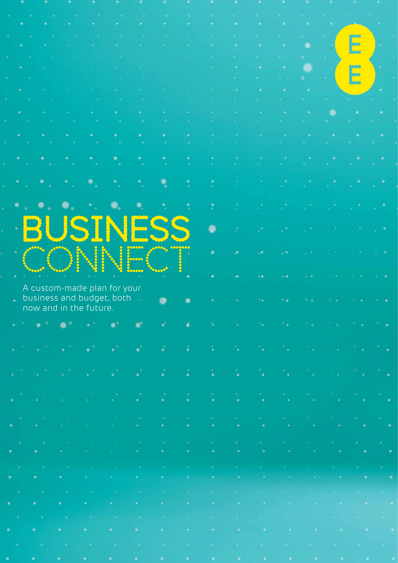|  |            | a Mar                  |                             | 化三氟化                                                                                                            |                           |  |                     |                                                                                                                                                                                                                                                                                   |  |
|--|------------|------------------------|-----------------------------|-----------------------------------------------------------------------------------------------------------------|---------------------------|--|---------------------|-----------------------------------------------------------------------------------------------------------------------------------------------------------------------------------------------------------------------------------------------------------------------------------|--|
|  |            |                        |                             |                                                                                                                 |                           |  |                     |                                                                                                                                                                                                                                                                                   |  |
|  |            |                        |                             |                                                                                                                 |                           |  |                     |                                                                                                                                                                                                                                                                                   |  |
|  |            |                        |                             | and the state of the state of the state of the state of the state of the state of the state of the state of the |                           |  |                     |                                                                                                                                                                                                                                                                                   |  |
|  |            |                        |                             |                                                                                                                 |                           |  |                     |                                                                                                                                                                                                                                                                                   |  |
|  | <b>BUS</b> |                        |                             |                                                                                                                 |                           |  |                     |                                                                                                                                                                                                                                                                                   |  |
|  |            |                        |                             |                                                                                                                 |                           |  |                     |                                                                                                                                                                                                                                                                                   |  |
|  |            |                        |                             |                                                                                                                 |                           |  |                     |                                                                                                                                                                                                                                                                                   |  |
|  |            |                        |                             |                                                                                                                 |                           |  |                     |                                                                                                                                                                                                                                                                                   |  |
|  |            |                        |                             |                                                                                                                 |                           |  |                     |                                                                                                                                                                                                                                                                                   |  |
|  |            |                        |                             |                                                                                                                 |                           |  |                     |                                                                                                                                                                                                                                                                                   |  |
|  |            |                        |                             |                                                                                                                 |                           |  |                     |                                                                                                                                                                                                                                                                                   |  |
|  |            |                        |                             |                                                                                                                 |                           |  |                     |                                                                                                                                                                                                                                                                                   |  |
|  |            |                        |                             |                                                                                                                 |                           |  |                     |                                                                                                                                                                                                                                                                                   |  |
|  |            |                        |                             |                                                                                                                 |                           |  |                     |                                                                                                                                                                                                                                                                                   |  |
|  |            |                        | A custom-made plan for your |                                                                                                                 |                           |  |                     |                                                                                                                                                                                                                                                                                   |  |
|  |            |                        |                             |                                                                                                                 | business and budget, both |  | <b>CARD COMPANY</b> |                                                                                                                                                                                                                                                                                   |  |
|  |            | now and in the future. |                             |                                                                                                                 |                           |  |                     |                                                                                                                                                                                                                                                                                   |  |
|  |            |                        |                             |                                                                                                                 |                           |  |                     |                                                                                                                                                                                                                                                                                   |  |
|  |            |                        |                             |                                                                                                                 |                           |  |                     |                                                                                                                                                                                                                                                                                   |  |
|  |            |                        |                             |                                                                                                                 |                           |  |                     |                                                                                                                                                                                                                                                                                   |  |
|  |            |                        |                             |                                                                                                                 |                           |  |                     |                                                                                                                                                                                                                                                                                   |  |
|  |            |                        |                             |                                                                                                                 |                           |  |                     | しょうしょうしょう (物) こうしょうしょう コール・コール しんしん しんしん しんしん しんこう                                                                                                                                                                                                                                |  |
|  |            |                        |                             |                                                                                                                 |                           |  |                     |                                                                                                                                                                                                                                                                                   |  |
|  |            |                        |                             |                                                                                                                 |                           |  |                     |                                                                                                                                                                                                                                                                                   |  |
|  |            |                        |                             |                                                                                                                 |                           |  |                     | 이 사이트 사이에 있는 것이 있는 것이 있다. 이 사이트 지역에 대한 사이트 이 사이트 시간이 있는 것이 있는 것이 있는 것이 있는 것이 있는 것이 있다.<br>이 사이트 시간이 있는 것이 있는 것이 있는 것이 있는 것이 있는 것이 있는 것이 있는 것이 있는 것이 있는 것이 있는 것이 있는 것이 있는 것이 있는 것이 있는 것이 있는 것이 있는 것이 있는 것                                                                          |  |
|  |            |                        |                             |                                                                                                                 |                           |  |                     |                                                                                                                                                                                                                                                                                   |  |
|  |            |                        |                             |                                                                                                                 |                           |  |                     |                                                                                                                                                                                                                                                                                   |  |
|  |            |                        |                             |                                                                                                                 |                           |  |                     | i sa katalogiya na kara na katalogiya na kara na kara na kara na kara na kara na kara na kara na kara na kara<br>Na kara na kara na kara na kara na kara na kara na kara na kara na kara na kara na katika na kara na kara na k                                                   |  |
|  |            |                        |                             |                                                                                                                 |                           |  |                     |                                                                                                                                                                                                                                                                                   |  |
|  |            |                        |                             |                                                                                                                 |                           |  |                     |                                                                                                                                                                                                                                                                                   |  |
|  |            |                        |                             |                                                                                                                 |                           |  |                     | - 「大阪の大阪府の旅行」というというものであり、そのことに、そのことに、そのことに、そのことに<br>in a definition of the control of the control of the control of the control of the control of the control of the control of the control of the control of the control of the control of the control of the control of the con |  |
|  |            |                        |                             |                                                                                                                 |                           |  |                     |                                                                                                                                                                                                                                                                                   |  |
|  |            |                        |                             |                                                                                                                 |                           |  |                     |                                                                                                                                                                                                                                                                                   |  |
|  |            |                        |                             |                                                                                                                 |                           |  |                     | ina ilina kao amin'ny faritr'i Norma, ao amin'ny faritr'i Norma, ao amin'ny faritr'i Norma, ao amin'ny faritr'                                                                                                                                                                    |  |
|  |            |                        |                             |                                                                                                                 |                           |  |                     |                                                                                                                                                                                                                                                                                   |  |
|  |            |                        |                             |                                                                                                                 |                           |  |                     | and the second control of the second control of the second control of the second control of the second control of the second control of the second control of the second control of the second control of the second control o                                                    |  |
|  |            |                        |                             |                                                                                                                 |                           |  |                     |                                                                                                                                                                                                                                                                                   |  |
|  |            |                        |                             |                                                                                                                 |                           |  |                     | The contract of the contract of the contract of the contract of the contract of the contract of the contract of                                                                                                                                                                   |  |
|  |            |                        |                             |                                                                                                                 |                           |  |                     |                                                                                                                                                                                                                                                                                   |  |
|  |            |                        |                             |                                                                                                                 |                           |  |                     | a sa kacamatan ing kabupatèn Kabupatèn Kabupatèn Kabupatèn Kabupatèn Kabupatèn Kabupatèn Kabupatèn Kabupatèn K                                                                                                                                                                    |  |
|  |            |                        |                             |                                                                                                                 |                           |  |                     | <b>A PARTICULAR AND DESCRIPTION OF A REPORT OF A PARTICULAR AND A REPORT OF A PARTICULAR AND A PARTICULAR AND PROVIDED</b>                                                                                                                                                        |  |
|  |            |                        |                             |                                                                                                                 |                           |  |                     |                                                                                                                                                                                                                                                                                   |  |
|  |            |                        |                             |                                                                                                                 |                           |  |                     | a ni kaominina amin'ny faritr'i Normandie, ao amin'ny faritr'i Normandie, ao amin'ny faritr'i Normandie, ao Fra                                                                                                                                                                   |  |
|  |            |                        |                             |                                                                                                                 |                           |  |                     | .a. s la scopola del Praticione del Mario del Mario de la Regione del Mario del Persona del Mario del Mario de                                                                                                                                                                    |  |
|  |            |                        |                             |                                                                                                                 |                           |  |                     |                                                                                                                                                                                                                                                                                   |  |
|  |            |                        |                             |                                                                                                                 |                           |  |                     | - 1980년 2010년 1월 20일 - 1월 20일 - 1월 20일 - 1월 20일 - 1월 20일 - 1월 20일 - 1월 20일 - 1월 20일 - 1월 20일 - 1월 20일 - 1월 20일                                                                                                                                                                    |  |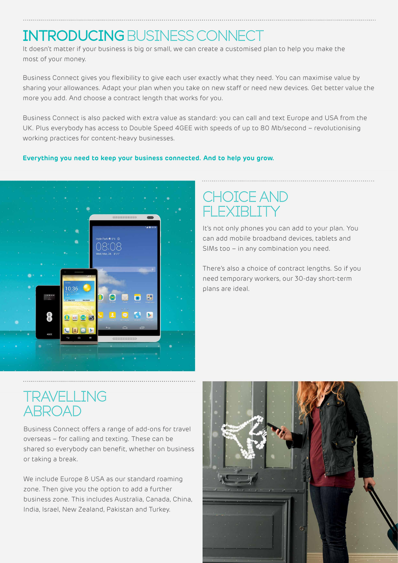# INTRODUCING BUSINESS CONNECT

It doesn't matter if your business is big or small, we can create a customised plan to help you make the most of your money.

Business Connect gives you flexibility to give each user exactly what they need. You can maximise value by sharing your allowances. Adapt your plan when you take on new staff or need new devices. Get better value the more you add. And choose a contract length that works for you.

Business Connect is also packed with extra value as standard: you can call and text Europe and USA from the UK. Plus everybody has access to Double Speed 4GEE with speeds of up to 80 Mb/second – revolutionising working practices for content-heavy businesses.

#### **Everything you need to keep your business connected. And to help you grow.**



## CHOICE AND **FXTRLIT**

It's not only phones you can add to your plan. You can add mobile broadband devices, tablets and SIMs too – in any combination you need.

There's also a choice of contract lengths. So if you need temporary workers, our 30-day short-term plans are ideal.

## TRAVELLING ABROAD

Business Connect offers a range of add-ons for travel overseas – for calling and texting. These can be shared so everybody can benefit, whether on business or taking a break.

We include Europe & USA as our standard roaming zone. Then give you the option to add a further business zone. This includes Australia, Canada, China, India, Israel, New Zealand, Pakistan and Turkey.

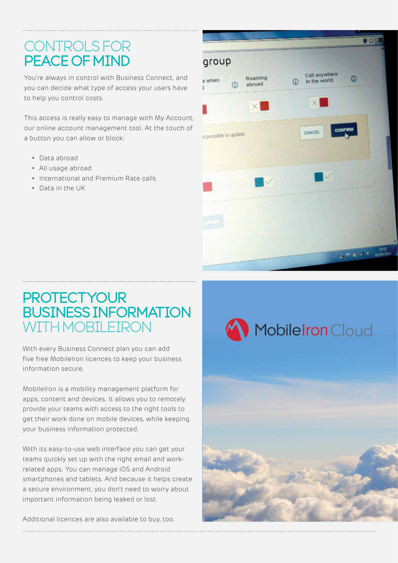# **CONTROLS FOR** PEACE OF MIND

You're always in control with Business Connect, and you can decide what type of access your users have to help you control costs.

This access is really easy to manage with My Account, our online account management tool. At the touch of a button you can allow or block:

- • Data abroad
- • All usage abroad
- • International and Premium Rate calls
- • Data in the UK



### **PROTECTYOUR** BUSINESS INFORMATION WITH MORTI FIRON

With every Business Connect plan you can add five free MobileIron licences to keep your business information secure.

MobileIron is a mobility management platform for apps, content and devices. It allows you to remotely provide your teams with access to the right tools to get their work done on mobile devices, while keeping your business information protected.

With its easy-to-use web interface you can get your teams quickly set up with the right email and workrelated apps. You can manage iOS and Android smartphones and tablets. And because it helps create a secure environment, you don't need to worry about important information being leaked or lost.

Additional licences are also available to buy, too.

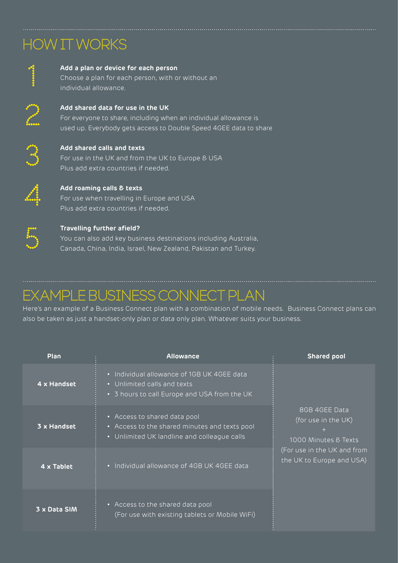# HOW IT WORKS



#### **Add a plan or device for each person**

Choose a plan for each person, with or without an individual allowance.



#### **Add shared data for use in the UK** For everyone to share, including when an individual allowance is used up. Everybody gets access to Double Speed 4GEE data to share



#### **Add shared calls and texts**

For use in the UK and from the UK to Europe & USA Plus add extra countries if needed.



#### **Add roaming calls & texts** For use when travelling in Europe and USA Plus add extra countries if needed.



#### **Travelling further afield?**

You can also add key business destinations including Australia, Canada, China, India, Israel, New Zealand, Pakistan and Turkey.

# Example Business Connect plan

Here's an example of a Business Connect plan with a combination of mobile needs. Business Connect plans can also be taken as just a handset-only plan or data only plan. Whatever suits your business.

| Plan         | <b>Allowance</b>                                                                                                             | <b>Shared pool</b>                                           |
|--------------|------------------------------------------------------------------------------------------------------------------------------|--------------------------------------------------------------|
| 4 x Handset  | • Individual allowance of 1GB UK 4GEE data<br>• Unlimited calls and texts<br>• 3 hours to call Europe and USA from the UK    |                                                              |
| 3 x Handset  | • Access to shared data pool<br>• Access to the shared minutes and texts pool<br>• Unlimited UK landline and colleague calls | 8GB 4GEE Data<br>(for use in the UK)<br>1000 Minutes & Texts |
| 4 x Tablet   | • Individual allowance of 4GB UK 4GEE data                                                                                   | (For use in the UK and from<br>the UK to Europe and USA)     |
| 3 x Data SIM | • Access to the shared data pool<br>(For use with existing tablets or Mobile WiFi)                                           |                                                              |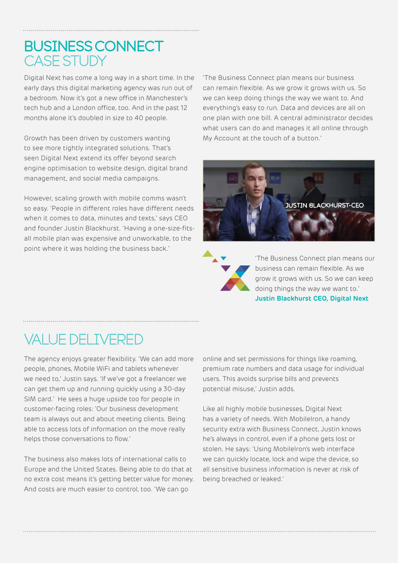### BUSINESS CONNECT **CASE STUDY**

Digital Next has come a long way in a short time. In the early days this digital marketing agency was run out of a bedroom. Now it's got a new office in Manchester's tech hub and a London office, too. And in the past 12 months alone it's doubled in size to 40 people.

Growth has been driven by customers wanting to see more tightly integrated solutions. That's seen Digital Next extend its offer beyond search engine optimisation to website design, digital brand management, and social media campaigns.

However, scaling growth with mobile comms wasn't so easy. 'People in different roles have different needs when it comes to data, minutes and texts,' says CEO and founder Justin Blackhurst. 'Having a one-size-fitsall mobile plan was expensive and unworkable, to the point where it was holding the business back.'

'The Business Connect plan means our business can remain flexible. As we grow it grows with us. So we can keep doing things the way we want to. And everything's easy to run. Data and devices are all on one plan with one bill. A central administrator decides what users can do and manages it all online through My Account at the touch of a button.'





'The Business Connect plan means our business can remain flexible. As we grow it grows with us. So we can keep doing things the way we want to.' **Justin Blackhurst CEO, Digital Next**

# Value delivered

The agency enjoys greater flexibility. 'We can add more people, phones, Mobile WiFi and tablets whenever we need to,' Justin says. 'If we've got a freelancer we can get them up and running quickly using a 30-day SIM card.' He sees a huge upside too for people in customer-facing roles: 'Our business development team is always out and about meeting clients. Being able to access lots of information on the move really helps those conversations to flow.'

The business also makes lots of international calls to Europe and the United States. Being able to do that at no extra cost means it's getting better value for money. And costs are much easier to control, too. 'We can go

online and set permissions for things like roaming, premium rate numbers and data usage for individual users. This avoids surprise bills and prevents potential misuse,' Justin adds.

Like all highly mobile businesses, Digital Next has a variety of needs. With MobileIron, a handy security extra with Business Connect, Justin knows he's always in control, even if a phone gets lost or stolen. He says: 'Using MobileIron's web interface we can quickly locate, lock and wipe the device, so all sensitive business information is never at risk of being breached or leaked.'